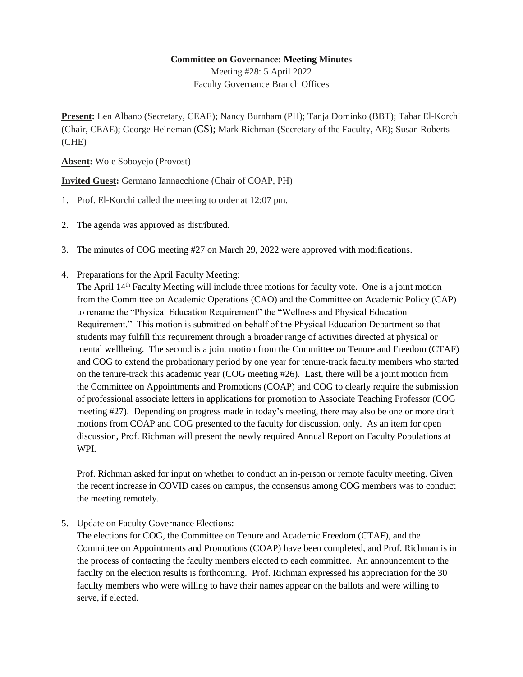## **Committee on Governance: Meeting Minutes**

Meeting #28: 5 April 2022 Faculty Governance Branch Offices

**Present:** Len Albano (Secretary, CEAE); Nancy Burnham (PH); Tanja Dominko (BBT); Tahar El-Korchi (Chair, CEAE); George Heineman (CS); Mark Richman (Secretary of the Faculty, AE); Susan Roberts (CHE)

**Absent:** Wole Soboyejo (Provost)

**Invited Guest:** Germano Iannacchione (Chair of COAP, PH)

- 1. Prof. El-Korchi called the meeting to order at 12:07 pm.
- 2. The agenda was approved as distributed.
- 3. The minutes of COG meeting #27 on March 29, 2022 were approved with modifications.
- 4. Preparations for the April Faculty Meeting:

The April 14<sup>th</sup> Faculty Meeting will include three motions for faculty vote. One is a joint motion from the Committee on Academic Operations (CAO) and the Committee on Academic Policy (CAP) to rename the "Physical Education Requirement" the "Wellness and Physical Education Requirement." This motion is submitted on behalf of the Physical Education Department so that students may fulfill this requirement through a broader range of activities directed at physical or mental wellbeing. The second is a joint motion from the Committee on Tenure and Freedom (CTAF) and COG to extend the probationary period by one year for tenure-track faculty members who started on the tenure-track this academic year (COG meeting #26). Last, there will be a joint motion from the Committee on Appointments and Promotions (COAP) and COG to clearly require the submission of professional associate letters in applications for promotion to Associate Teaching Professor (COG meeting #27). Depending on progress made in today's meeting, there may also be one or more draft motions from COAP and COG presented to the faculty for discussion, only. As an item for open discussion, Prof. Richman will present the newly required Annual Report on Faculty Populations at WPI.

Prof. Richman asked for input on whether to conduct an in-person or remote faculty meeting. Given the recent increase in COVID cases on campus, the consensus among COG members was to conduct the meeting remotely.

5. Update on Faculty Governance Elections:

The elections for COG, the Committee on Tenure and Academic Freedom (CTAF), and the Committee on Appointments and Promotions (COAP) have been completed, and Prof. Richman is in the process of contacting the faculty members elected to each committee. An announcement to the faculty on the election results is forthcoming. Prof. Richman expressed his appreciation for the 30 faculty members who were willing to have their names appear on the ballots and were willing to serve, if elected.